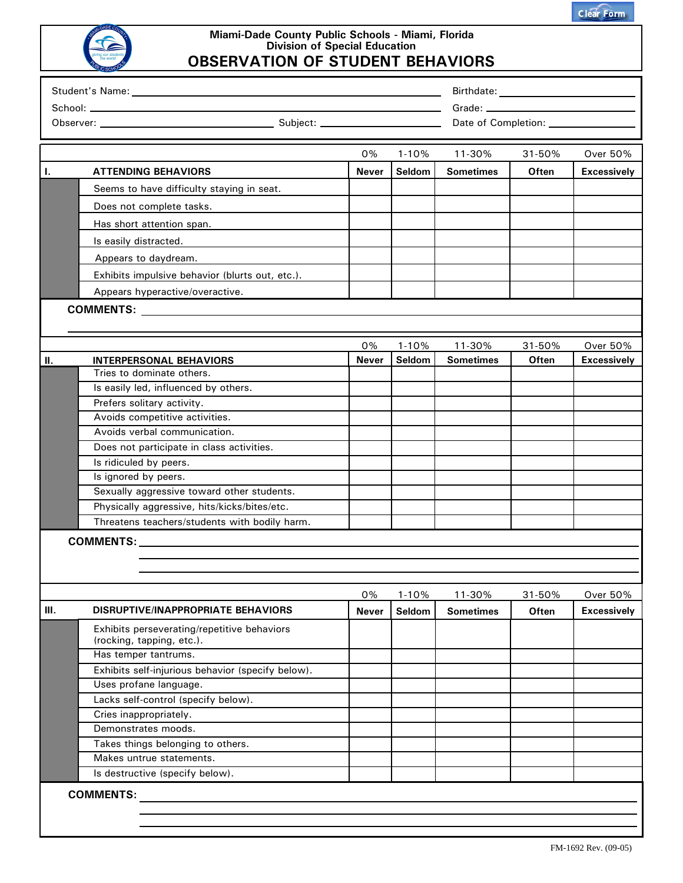|  | <b>Clear Form</b> |
|--|-------------------|
|  |                   |



## **Miami-Dade County Public Schools - Miami, Florida Division of Special Education OBSERVATION OF STUDENT BEHAVIORS**

|      |                                                                                                                                                                                                                               | 0%                 | $1 - 10%$           | 11-30%                     | 31-50%          | <b>Over 50%</b>                       |
|------|-------------------------------------------------------------------------------------------------------------------------------------------------------------------------------------------------------------------------------|--------------------|---------------------|----------------------------|-----------------|---------------------------------------|
| T.   | <b>ATTENDING BEHAVIORS</b>                                                                                                                                                                                                    | <b>Never</b>       | Seldom              | <b>Sometimes</b>           | Often           | <b>Excessively</b>                    |
|      | Seems to have difficulty staying in seat.                                                                                                                                                                                     |                    |                     |                            |                 |                                       |
|      |                                                                                                                                                                                                                               |                    |                     |                            |                 |                                       |
|      | Does not complete tasks.                                                                                                                                                                                                      |                    |                     |                            |                 |                                       |
|      | Has short attention span.                                                                                                                                                                                                     |                    |                     |                            |                 |                                       |
|      | Is easily distracted.                                                                                                                                                                                                         |                    |                     |                            |                 |                                       |
|      | Appears to daydream.                                                                                                                                                                                                          |                    |                     |                            |                 |                                       |
|      | Exhibits impulsive behavior (blurts out, etc.).                                                                                                                                                                               |                    |                     |                            |                 |                                       |
|      | Appears hyperactive/overactive.                                                                                                                                                                                               |                    |                     |                            |                 |                                       |
|      |                                                                                                                                                                                                                               |                    |                     |                            |                 |                                       |
|      |                                                                                                                                                                                                                               |                    |                     |                            |                 |                                       |
|      |                                                                                                                                                                                                                               |                    |                     |                            |                 |                                       |
| Ш.   |                                                                                                                                                                                                                               | 0%<br><b>Never</b> | $1 - 10%$<br>Seldom | 11-30%<br><b>Sometimes</b> | 31-50%<br>Often | <b>Over 50%</b><br><b>Excessively</b> |
|      | <b>INTERPERSONAL BEHAVIORS</b><br>Tries to dominate others.                                                                                                                                                                   |                    |                     |                            |                 |                                       |
|      | Is easily led, influenced by others.                                                                                                                                                                                          |                    |                     |                            |                 |                                       |
|      | Prefers solitary activity.                                                                                                                                                                                                    |                    |                     |                            |                 |                                       |
|      | Avoids competitive activities.                                                                                                                                                                                                |                    |                     |                            |                 |                                       |
|      | Avoids verbal communication.                                                                                                                                                                                                  |                    |                     |                            |                 |                                       |
|      | Does not participate in class activities.                                                                                                                                                                                     |                    |                     |                            |                 |                                       |
|      | Is ridiculed by peers.                                                                                                                                                                                                        |                    |                     |                            |                 |                                       |
|      | Is ignored by peers.                                                                                                                                                                                                          |                    |                     |                            |                 |                                       |
|      | Sexually aggressive toward other students.                                                                                                                                                                                    |                    |                     |                            |                 |                                       |
|      | Physically aggressive, hits/kicks/bites/etc.                                                                                                                                                                                  |                    |                     |                            |                 |                                       |
|      | Threatens teachers/students with bodily harm.                                                                                                                                                                                 |                    |                     |                            |                 |                                       |
|      | COMMENTS: NAMEL AND THE STATE OF STATE OF STATE OF STATE OF STATE OF STATE OF STATE OF STATE OF STATE OF STATE OF STATE OF STATE OF STATE OF STATE OF STATE OF STATE OF STATE OF STATE OF STATE OF STATE OF STATE OF STATE OF |                    |                     |                            |                 |                                       |
|      |                                                                                                                                                                                                                               |                    |                     |                            |                 |                                       |
|      |                                                                                                                                                                                                                               |                    |                     |                            |                 |                                       |
|      |                                                                                                                                                                                                                               |                    |                     |                            |                 |                                       |
|      |                                                                                                                                                                                                                               | 0%                 | $1 - 10%$           | 11-30%                     | 31-50%          | <b>Over 50%</b>                       |
| III. | <b>DISRUPTIVE/INAPPROPRIATE BEHAVIORS</b>                                                                                                                                                                                     | <b>Never</b>       | Seldom              | <b>Sometimes</b>           | Often           | <b>Excessively</b>                    |
|      | Exhibits perseverating/repetitive behaviors<br>(rocking, tapping, etc.).                                                                                                                                                      |                    |                     |                            |                 |                                       |
|      | Has temper tantrums.                                                                                                                                                                                                          |                    |                     |                            |                 |                                       |
|      | Exhibits self-injurious behavior (specify below).                                                                                                                                                                             |                    |                     |                            |                 |                                       |
|      | Uses profane language.                                                                                                                                                                                                        |                    |                     |                            |                 |                                       |
|      | Lacks self-control (specify below).                                                                                                                                                                                           |                    |                     |                            |                 |                                       |
|      | Cries inappropriately.                                                                                                                                                                                                        |                    |                     |                            |                 |                                       |
|      | Demonstrates moods.                                                                                                                                                                                                           |                    |                     |                            |                 |                                       |
|      | Takes things belonging to others.                                                                                                                                                                                             |                    |                     |                            |                 |                                       |
|      | Makes untrue statements.                                                                                                                                                                                                      |                    |                     |                            |                 |                                       |
|      | Is destructive (specify below).                                                                                                                                                                                               |                    |                     |                            |                 |                                       |
|      | <b>COMMENTS:</b>                                                                                                                                                                                                              |                    |                     |                            |                 |                                       |
|      |                                                                                                                                                                                                                               |                    |                     |                            |                 |                                       |
|      |                                                                                                                                                                                                                               |                    |                     |                            |                 |                                       |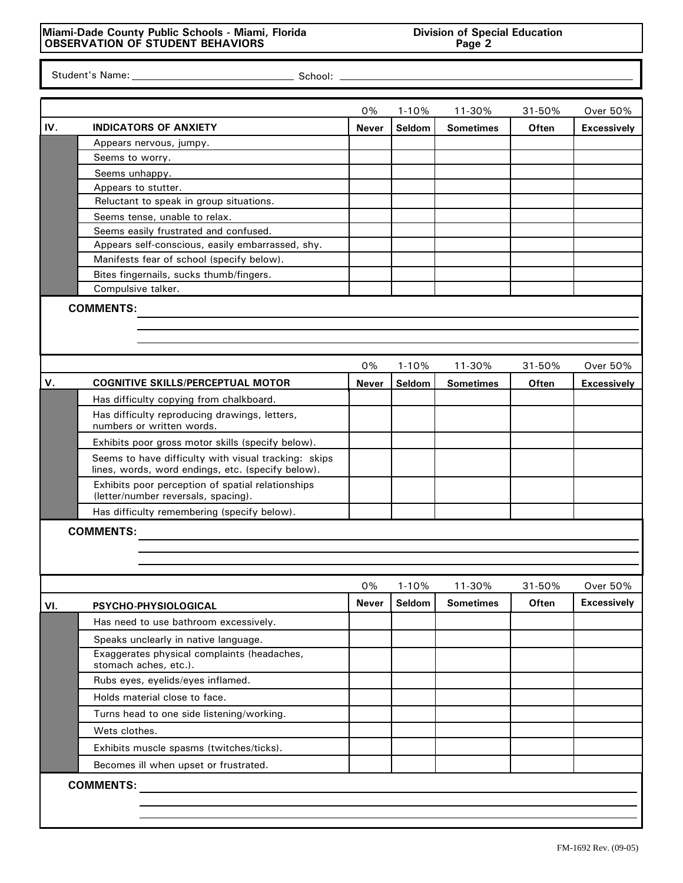Student's Name: Student's Name: School:

|     |                                                                                          | 0%           | $1 - 10%$ | 11-30%           | 31-50%       | <b>Over 50%</b>    |
|-----|------------------------------------------------------------------------------------------|--------------|-----------|------------------|--------------|--------------------|
| IV. | <b>INDICATORS OF ANXIETY</b>                                                             | <b>Never</b> | Seldom    | <b>Sometimes</b> | Often        | <b>Excessively</b> |
|     | Appears nervous, jumpy.                                                                  |              |           |                  |              |                    |
|     | Seems to worry.                                                                          |              |           |                  |              |                    |
|     | Seems unhappy.                                                                           |              |           |                  |              |                    |
|     | Appears to stutter.                                                                      |              |           |                  |              |                    |
|     | Reluctant to speak in group situations.                                                  |              |           |                  |              |                    |
|     | Seems tense, unable to relax.                                                            |              |           |                  |              |                    |
|     | Seems easily frustrated and confused.                                                    |              |           |                  |              |                    |
|     | Appears self-conscious, easily embarrassed, shy.                                         |              |           |                  |              |                    |
|     | Manifests fear of school (specify below).                                                |              |           |                  |              |                    |
|     | Bites fingernails, sucks thumb/fingers.                                                  |              |           |                  |              |                    |
|     | Compulsive talker.                                                                       |              |           |                  |              |                    |
|     | <b>COMMENTS:</b>                                                                         |              |           |                  |              |                    |
|     |                                                                                          |              |           |                  |              |                    |
|     |                                                                                          |              |           |                  |              |                    |
|     |                                                                                          | 0%           | $1 - 10%$ | 11-30%           | 31-50%       | Over 50%           |
| V.  | <b>COGNITIVE SKILLS/PERCEPTUAL MOTOR</b>                                                 | Never        | Seldom    | <b>Sometimes</b> | Often        | <b>Excessively</b> |
|     | Has difficulty copying from chalkboard.                                                  |              |           |                  |              |                    |
|     | Has difficulty reproducing drawings, letters,                                            |              |           |                  |              |                    |
|     | numbers or written words.                                                                |              |           |                  |              |                    |
|     | Exhibits poor gross motor skills (specify below).                                        |              |           |                  |              |                    |
|     | Seems to have difficulty with visual tracking: skips                                     |              |           |                  |              |                    |
|     | lines, words, word endings, etc. (specify below).                                        |              |           |                  |              |                    |
|     | Exhibits poor perception of spatial relationships<br>(letter/number reversals, spacing). |              |           |                  |              |                    |
|     | Has difficulty remembering (specify below).                                              |              |           |                  |              |                    |
|     | <b>COMMENTS:</b>                                                                         |              |           |                  |              |                    |
|     |                                                                                          |              |           |                  |              |                    |
|     |                                                                                          |              |           |                  |              |                    |
|     |                                                                                          |              |           |                  |              |                    |
|     |                                                                                          | 0%           | $1 - 10%$ | 11-30%           | 31-50%       | <b>Over 50%</b>    |
| VI. | PSYCHO-PHYSIOLOGICAL                                                                     | Never        | Seldom    | <b>Sometimes</b> | <b>Often</b> | <b>Excessively</b> |
|     | Has need to use bathroom excessively.                                                    |              |           |                  |              |                    |
|     | Speaks unclearly in native language.                                                     |              |           |                  |              |                    |
|     | Exaggerates physical complaints (headaches,                                              |              |           |                  |              |                    |
|     | stomach aches, etc.).                                                                    |              |           |                  |              |                    |
|     | Rubs eyes, eyelids/eyes inflamed.                                                        |              |           |                  |              |                    |
|     | Holds material close to face.                                                            |              |           |                  |              |                    |
|     | Turns head to one side listening/working.                                                |              |           |                  |              |                    |
|     | Wets clothes.                                                                            |              |           |                  |              |                    |
|     | Exhibits muscle spasms (twitches/ticks).                                                 |              |           |                  |              |                    |
|     | Becomes ill when upset or frustrated.                                                    |              |           |                  |              |                    |
|     | <b>COMMENTS:</b>                                                                         |              |           |                  |              |                    |
|     |                                                                                          |              |           |                  |              |                    |
|     |                                                                                          |              |           |                  |              |                    |
|     |                                                                                          |              |           |                  |              |                    |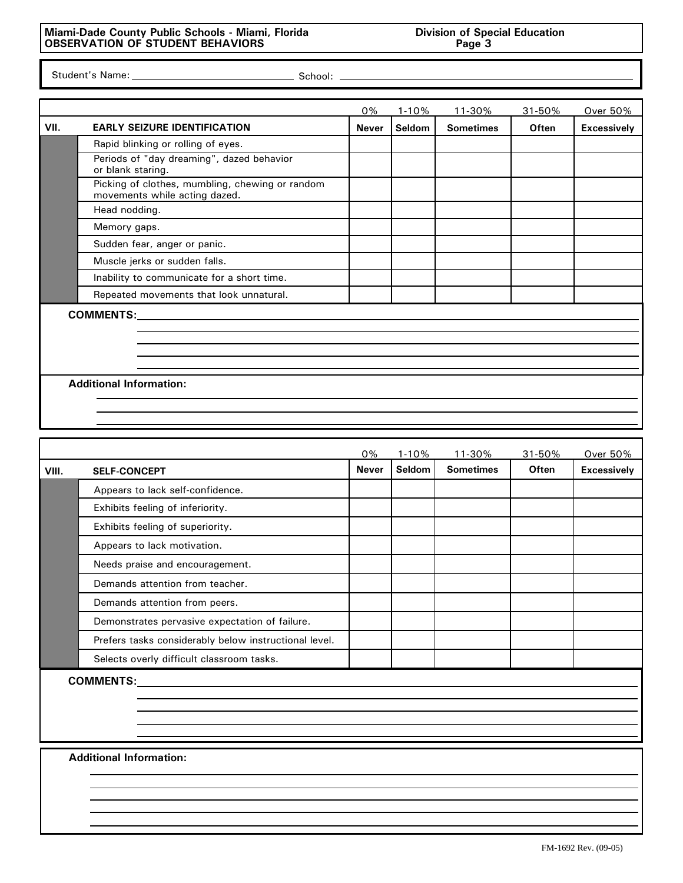## **Miami-Dade County Public Schools - Miami, Florida Division of Special Education OBSERVATION OF STUDENT BEHAVIORS Page 3**

Student's Name: Student's Name: School:

|      |                                                                                  | 0%    | $1 - 10%$ | 11-30%           | 31-50%       | Over 50%           |
|------|----------------------------------------------------------------------------------|-------|-----------|------------------|--------------|--------------------|
| VII. | <b>EARLY SEIZURE IDENTIFICATION</b>                                              | Never | Seldom    | <b>Sometimes</b> | <b>Often</b> | <b>Excessively</b> |
|      | Rapid blinking or rolling of eyes.                                               |       |           |                  |              |                    |
|      | Periods of "day dreaming", dazed behavior<br>or blank staring.                   |       |           |                  |              |                    |
|      | Picking of clothes, mumbling, chewing or random<br>movements while acting dazed. |       |           |                  |              |                    |
|      | Head nodding.                                                                    |       |           |                  |              |                    |
|      | Memory gaps.                                                                     |       |           |                  |              |                    |
|      | Sudden fear, anger or panic.                                                     |       |           |                  |              |                    |
|      | Muscle jerks or sudden falls.                                                    |       |           |                  |              |                    |
|      | Inability to communicate for a short time.                                       |       |           |                  |              |                    |
|      | Repeated movements that look unnatural.                                          |       |           |                  |              |                    |
|      |                                                                                  |       |           |                  |              |                    |
|      |                                                                                  |       |           |                  |              |                    |
|      |                                                                                  |       |           |                  |              |                    |
|      |                                                                                  |       |           |                  |              |                    |
|      |                                                                                  |       |           |                  |              |                    |
|      | <b>Additional Information:</b>                                                   |       |           |                  |              |                    |
|      |                                                                                  |       |           |                  |              |                    |

|       |                                                       | 0%           | $1 - 10%$ | 11-30%           | 31-50%       | Over 50%           |  |
|-------|-------------------------------------------------------|--------------|-----------|------------------|--------------|--------------------|--|
| VIII. | <b>SELF-CONCEPT</b>                                   | <b>Never</b> | Seldom    | <b>Sometimes</b> | <b>Often</b> | <b>Excessively</b> |  |
|       | Appears to lack self-confidence.                      |              |           |                  |              |                    |  |
|       | Exhibits feeling of inferiority.                      |              |           |                  |              |                    |  |
|       | Exhibits feeling of superiority.                      |              |           |                  |              |                    |  |
|       | Appears to lack motivation.                           |              |           |                  |              |                    |  |
|       | Needs praise and encouragement.                       |              |           |                  |              |                    |  |
|       | Demands attention from teacher.                       |              |           |                  |              |                    |  |
|       | Demands attention from peers.                         |              |           |                  |              |                    |  |
|       | Demonstrates pervasive expectation of failure.        |              |           |                  |              |                    |  |
|       | Prefers tasks considerably below instructional level. |              |           |                  |              |                    |  |
|       | Selects overly difficult classroom tasks.             |              |           |                  |              |                    |  |
|       |                                                       |              |           |                  |              |                    |  |
|       | <b>Additional Information:</b>                        |              |           |                  |              |                    |  |